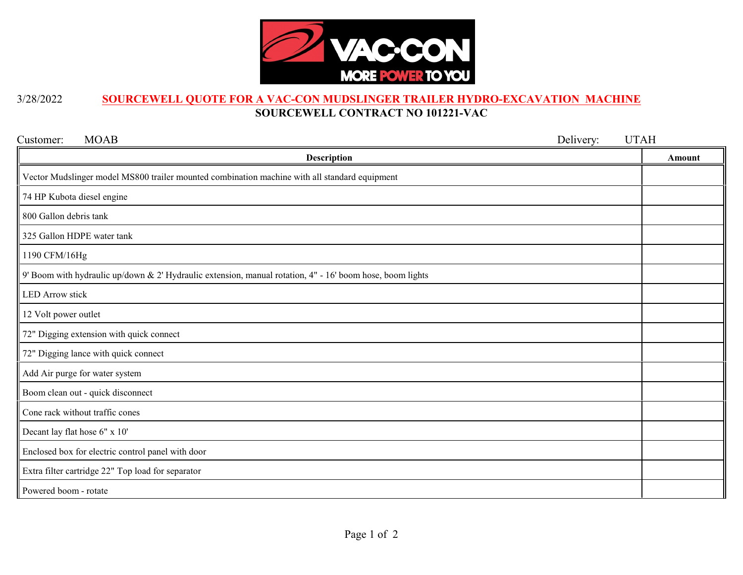

## 3/28/2022 **SOURCEWELL QUOTE FOR A VAC-CON MUDSLINGER TRAILER HYDRO-EXCAVATION MACHINE SOURCEWELL CONTRACT NO 101221-VAC**

| Customer:<br><b>MOAB</b><br>Delivery:                                                                     | <b>UTAH</b> |
|-----------------------------------------------------------------------------------------------------------|-------------|
| <b>Description</b>                                                                                        | Amount      |
| Vector Mudslinger model MS800 trailer mounted combination machine with all standard equipment             |             |
| 74 HP Kubota diesel engine                                                                                |             |
| 800 Gallon debris tank                                                                                    |             |
| 325 Gallon HDPE water tank                                                                                |             |
| 1190 CFM/16Hg                                                                                             |             |
| 9' Boom with hydraulic up/down & 2' Hydraulic extension, manual rotation, 4" - 16' boom hose, boom lights |             |
| <b>LED</b> Arrow stick                                                                                    |             |
| 12 Volt power outlet                                                                                      |             |
| 72" Digging extension with quick connect                                                                  |             |
| 72" Digging lance with quick connect                                                                      |             |
| Add Air purge for water system                                                                            |             |
| Boom clean out - quick disconnect                                                                         |             |
| Cone rack without traffic cones                                                                           |             |
| Decant lay flat hose 6" x 10"                                                                             |             |
| Enclosed box for electric control panel with door                                                         |             |
| Extra filter cartridge 22" Top load for separator                                                         |             |
| Powered boom - rotate                                                                                     |             |